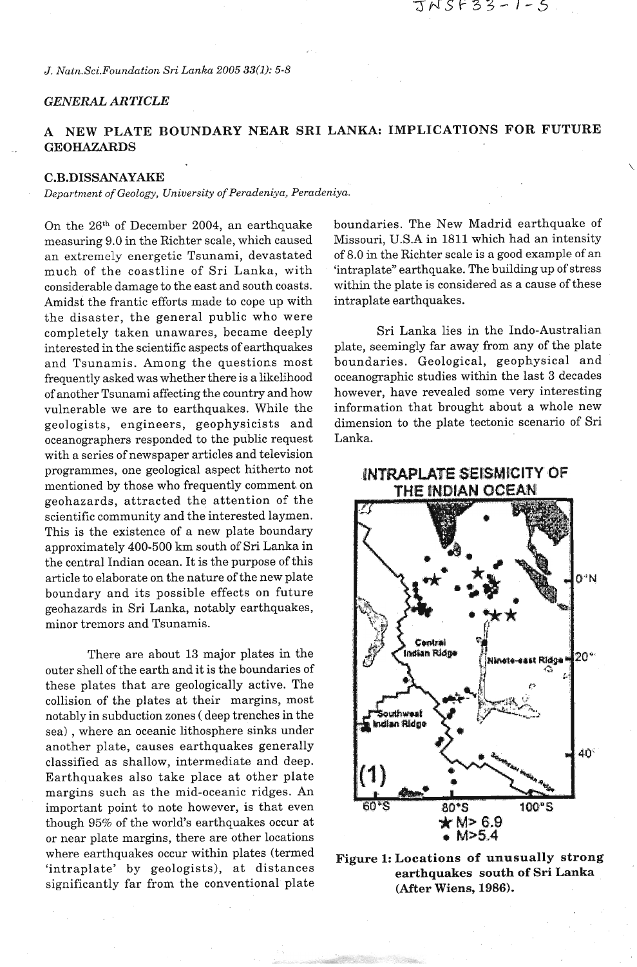*J. Natn.Sci.Foundation Sri Lanka 2005 33(1): 5-8* 

## *GENERAL ARTICLE*

# **A NEW PLATE BOUNDARY NEAR SRI LANKA: IMPLICATIONS FOR FUTURE GEOHAZARDS**

### **C.B.DISSANAYAKE**

*Department of Geology, University of Peradeniya, Peradeniya.* 

On the 26th of December 2004, an earthquake measuring 9.0 in the Richter scale, which caused an extremely energetic Tsunami, devastated much of the coastline of Sri Lanka, with considerable damage to the east and south coasts. Amidst the frantic efforts made to cope up with the disaster, the general public who were completely taken unawares, became deeply interested in the scientific aspects of earthquakes and Tsunamis. Among the questions most frequently asked was whether there is a likelihood of another Tsunami affecting the country and how vulnerable we are to earthquakes. While the geologists, engineers, geophysicists and oceanographers responded to the public request with a series of newspaper articles and television programmes, one geological aspect hitherto not mentioned by those who frequently comment on geohazards, attracted the attention of the scientific community and the interested laymen. This is the existence of a new plate boundary approximately 400-500 km south of Sri Lanka in the central Indian ocean. It is the purpose of this article to elaborate on the nature of the new plate boundary and its possible effects on future geohazards in Sri Lanka, notably earthquakes, minor tremors and Tsunamis.

There are about 13 major plates in the outer shell of the earth and it is the boundaries of these plates that are geologically active. The collision of the plates at their margins, most notably in subduction zones ( deep trenches in the sea) , where an oceanic lithosphere sinks under another plate, causes earthquakes generally classified as shallow, intermediate and deep. Earthquakes also take place at other plate margins such as the mid-oceanic ridges. An important point to note however, is that even though 95% of the world's earthquakes occur at or near plate margins, there are other locations or near plate margins, there are other locations<br>where earthquakes occur within plates (termed<br>**Figure 1: Locations of unusually strong** 

boundaries. The New Madrid earthquake of Missouri, U.S.A in 1811 which had an intensity of 8.0 in the Richter scale is a good example of an 'intraplate" earthquake. The building up of stress within the plate is considered as a cause of these intraplate earthquakes.

JNSF33-1-5

Sri Lanka lies in the Indo-Australian plate, seemingly far away from any of the plate boundaries. Geological, geophysical and oceanographic studies within the last 3 decades however, have revealed some very interesting information that brought about a whole new dimension to the plate tectonic scenario of Sri Lanka.



'intraplate' by geologists), at distances **earthquakes south of Sri Lanka** significantly far from the conventional plate **(After Wiens, 1986).** 

# **INTRAPLATE SEISMICITY OF** THE INDIAN OCEAN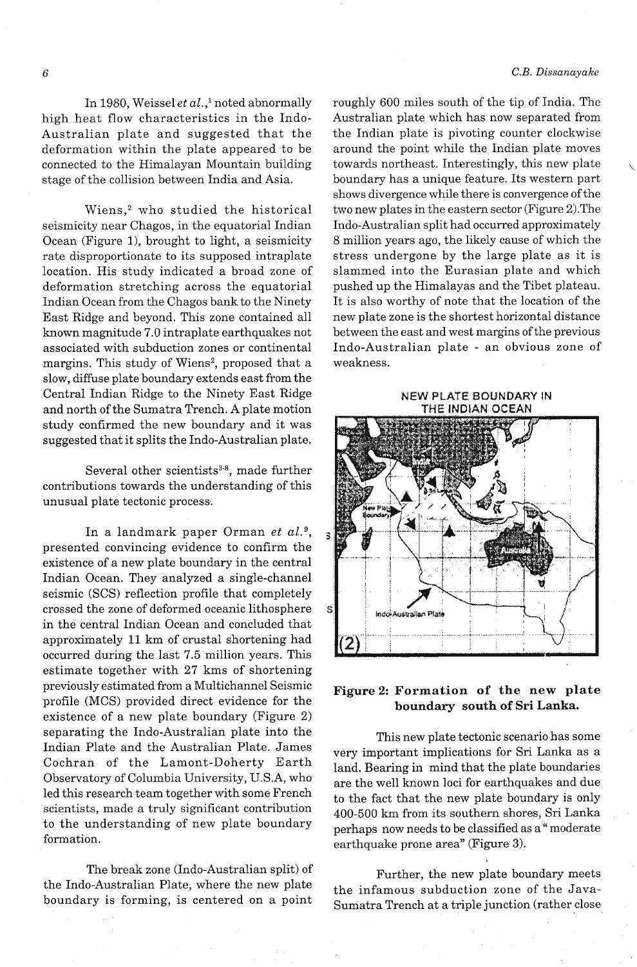In 1980, Weissel et al.,<sup>1</sup> noted abnormally high heat flow characteristics in the Indo-Australian plate and suggested that the deformation within the plate appeared to be connected to the Himalayan Mountain building stage of the collision between India and Asia.

Wiens,<sup>2</sup> who studied the historical seismicity near Chagos, in the equatorial Indian Ocean (Figure 1), brought to light, a seismicity rate disproportionate to its supposed intraplate location. His study indicated a broad zone of deformation stretching across the equatorial Indian Ocean from the Chagos bank to the Ninety East Ridge and beyond. This zone contained all known magnitude 7.0 intraplate earthquakes not associated with subduction zones or continental margins. This study of Wiens<sup>2</sup>, proposed that a slow, diffuse plate boundary extends east from the Central Indian Ridge to the Ninety East Ridge and north of the Sumatra Trench. A plate motion study confirmed the new boundary and it was suggested that it splits the Indo-Australian plate.

Several other scientists $3-8$ , made further contributions towards the understanding of this unusual plate tectonic process;

In a landmark paper Orman *et* aL9, presented convincing evidence to confirm the existence of a new plate boundary in the central Indian Ocean. They analyzed a single-channel seismic (SCS) reflection profile that completely crossed the zone of deformed oceanic lithosphere in the central Indian Ocean and concluded that approximately 11 km of crustal shortening had occurred during the last 7.5 million years. This estimate together with 27 kms of shortening previously estimated from a Multichannel Seismic profile (MCS) provided direct evidence for the existence of a new plate boundary (Figure 2) separating the Indo-Australian plate into the Indian Plate and the Australian Plate. James Cochran of the Lamont-Doherty Earth Observatory of Columbia University, U.S.A, who led this research team together with some French scientists, made a truly significant contribution to the understanding of new plate boundary formation.

The break zone (Indo-Australian split) of Further, the new plate boundary meets<br>the Indo-Australian Plate, where the new plate the informants subduction zone of the Java-

roughly 600 miles south of the tip of India. The Australian plate which has now separated from the Indian plate is pivoting counter clockwise around the point while the Indian plate moves towards northeast. Interestingly, this new plate boundary has a unique feature. Its western part shows divergence while there is convergence of the two new plates in the eastern sector (Figure 2).The Indo-Australian split had occurred approximately 8 million years ago, the likely cause of which the stress undergone by the large plate as it is slammed into the Eurasian plate and which pushed up the Himalayas and the Tibet plateau. It is also worthy of note that the location of the new plate zone is the shortest horizontal distance between the east and west margins of the previous Indo-Australian plate - an obvious zone of weakness.



## **Figure 2: Formation of the new plate boundary south of Sri Lanka.**

This new plate tectonic scenario has some very important implications for Sri Lanka as a land. Bearing in mind that the plate boundaries are the well known loci for earthquakes and due to the fact that the new plate boundary is only 400-500 km from its southern shores, Sri Lanka perhaps now needs to be classified as a " moderate earthquake prone area" (Figure **3).** 

the infamous subduction zone of the Javaboundary is forming, is centered on a point Sumatra Trench at a triple junction (rather close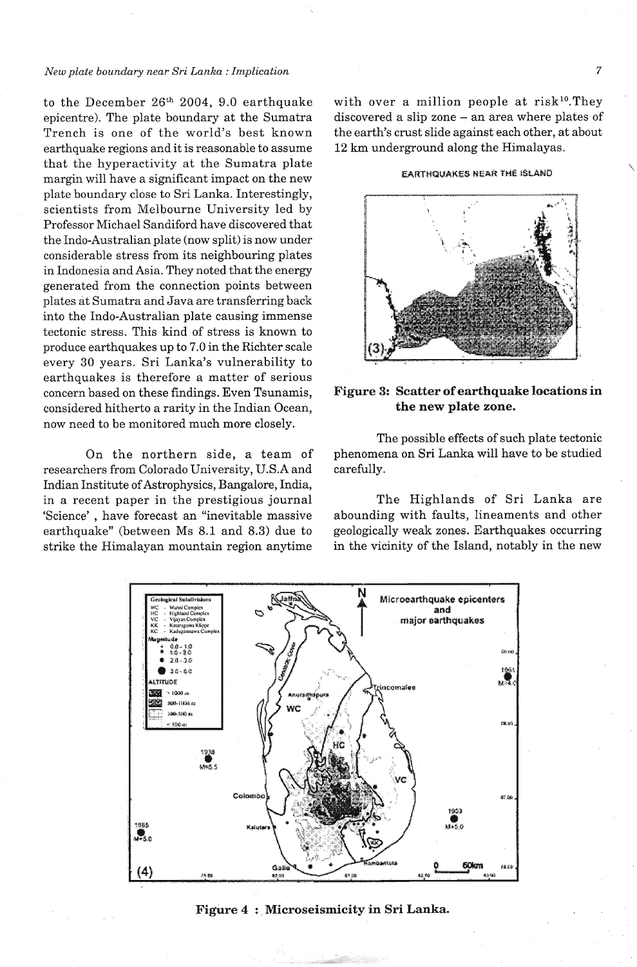#### *New plate boundary near Sri Lanka :Implication*

to the December **26th** 2004, 9.0 earthquake epicentre). The plate boundary at the Sumatra Trench is one of the world's best known earthquake regions and it is reasonable to assume that the hyperactivity at the Sumatra plate margin will have a significant impact on the new plate boundary close to Sri Lanka. Interestingly, scientists from Melbourne University led by Professor Michael Sandiford have discovered that the Indo-Australian plate (now split) is now under considerable stress from its neighbouring plates in Indonesia and Asia. They noted that the energy generated from the connection points between plates at Sumatra and Java are transferring back into the Indo-Australian plate causing immense tectonic stress. This kind of stress is known to produce earthquakes up to 7.0 in the Richter scale every 30 years. Sri Lanka's vulnerability to earthquakes is therefore a matter of serious concern based on these findings. Even Tsunamis, considered hitherto a rarity in the Indian Ocean, now need to be monitored much more closely.

On the northern side, a team of researchers from Colorado University, U.S.A and Indian Institute of Astrophysics, Bangalore, India, in a recent paper in the prestigious journal 'Science' , have forecast an "inevitable massive earthquake" (between Ms 8.1 and 8.3) due to strike the Himalayan mountain region anytime with over a million people at  $risk^{10}$ . They discovered a slip zone - an area where plates of the earth's crust slide against each other, at about 12 **km** underground along the Himalayas.

#### **;Ejs4WHQLt&HjEB NEAR 'rML 1fiUWD**



## **Figure 3: Scatter of earthquake locations in the new plate zone.**

The possible effects of such plate tectonic phenomena on Sri Lanka will have to be studied carefully.

The Highlands of Sri Lanka are abounding with faults, lineaments and other geologically weak zones. Earthquakes occurring in the vicinity of the Island, notably in the new



### **Figure 4** : **Microseismicity in Sri Lanka.**

 $\boldsymbol{7}$